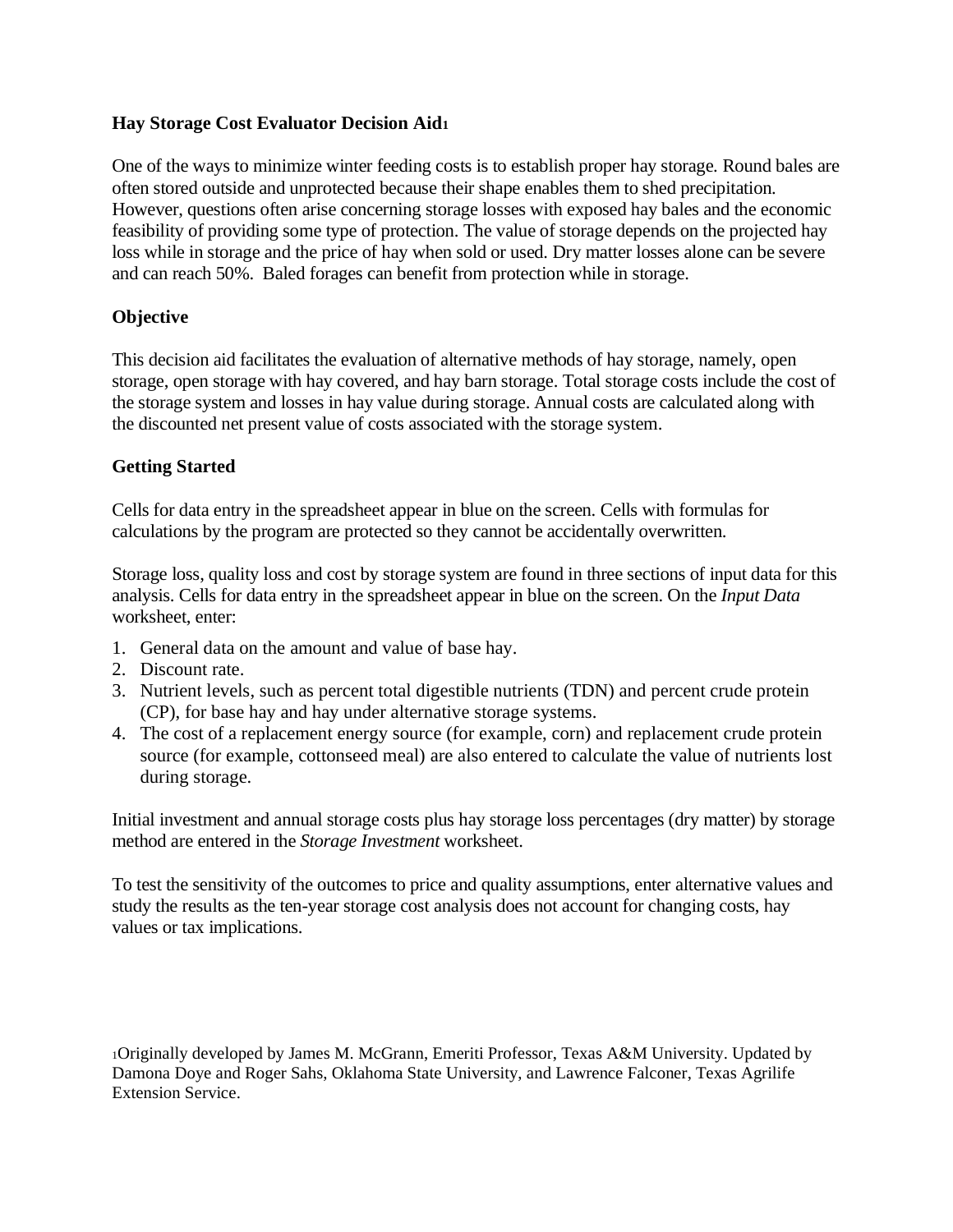### **Hay Storage Cost Evaluator Decision Aid<sup>1</sup>**

One of the ways to minimize winter feeding costs is to establish proper hay storage. Round bales are often stored outside and unprotected because their shape enables them to shed precipitation. However, questions often arise concerning storage losses with exposed hay bales and the economic feasibility of providing some type of protection. The value of storage depends on the projected hay loss while in storage and the price of hay when sold or used. Dry matter losses alone can be severe and can reach 50%. Baled forages can benefit from protection while in storage.

# **Objective**

This decision aid facilitates the evaluation of alternative methods of hay storage, namely, open storage, open storage with hay covered, and hay barn storage. Total storage costs include the cost of the storage system and losses in hay value during storage. Annual costs are calculated along with the discounted net present value of costs associated with the storage system.

# **Getting Started**

Cells for data entry in the spreadsheet appear in blue on the screen. Cells with formulas for calculations by the program are protected so they cannot be accidentally overwritten.

Storage loss, quality loss and cost by storage system are found in three sections of input data for this analysis. Cells for data entry in the spreadsheet appear in blue on the screen. On the *Input Data* worksheet, enter:

- 1. General data on the amount and value of base hay.
- 2. Discount rate.
- 3. Nutrient levels, such as percent total digestible nutrients (TDN) and percent crude protein (CP), for base hay and hay under alternative storage systems.
- 4. The cost of a replacement energy source (for example, corn) and replacement crude protein source (for example, cottonseed meal) are also entered to calculate the value of nutrients lost during storage.

Initial investment and annual storage costs plus hay storage loss percentages (dry matter) by storage method are entered in the *Storage Investment* worksheet.

To test the sensitivity of the outcomes to price and quality assumptions, enter alternative values and study the results as the ten-year storage cost analysis does not account for changing costs, hay values or tax implications.

<sup>1</sup>Originally developed by James M. McGrann, Emeriti Professor, Texas A&M University. Updated by Damona Doye and Roger Sahs, Oklahoma State University, and Lawrence Falconer, Texas Agrilife Extension Service.